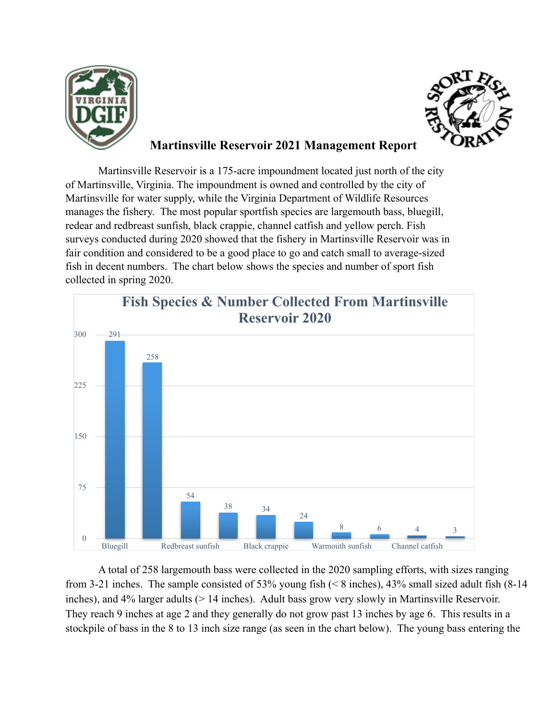



## **Martinsville Reservoir 2021 Management Report**

Martinsville Reservoir is a 175-acre impoundment located just north of the city of Martinsville, Virginia. The impoundment is owned and controlled by the city of Martinsville for water supply, while the Virginia Department of Wildlife Resources manages the fishery. The most popular sportfish species are largemouth bass, bluegill, redear and redbreast sunfish, black crappie, channel catfish and yellow perch. Fish surveys conducted during 2020 showed that the fishery in Martinsville Reservoir was in fair condition and considered to be a good place to go and catch small to average-sized fish in decent numbers. The chart below shows the species and number of sport fish collected in spring 2020.



A total of 258 largemouth bass were collected in the 2020 sampling efforts, with sizes ranging from 3-21 inches. The sample consisted of 53% young fish (< 8 inches), 43% small sized adult fish (8-14 inches), and 4% larger adults (> 14 inches). Adult bass grow very slowly in Martinsville Reservoir. They reach 9 inches at age 2 and they generally do not grow past 13 inches by age 6. This results in a stockpile of bass in the 8 to 13 inch size range (as seen in the chart below). The young bass entering the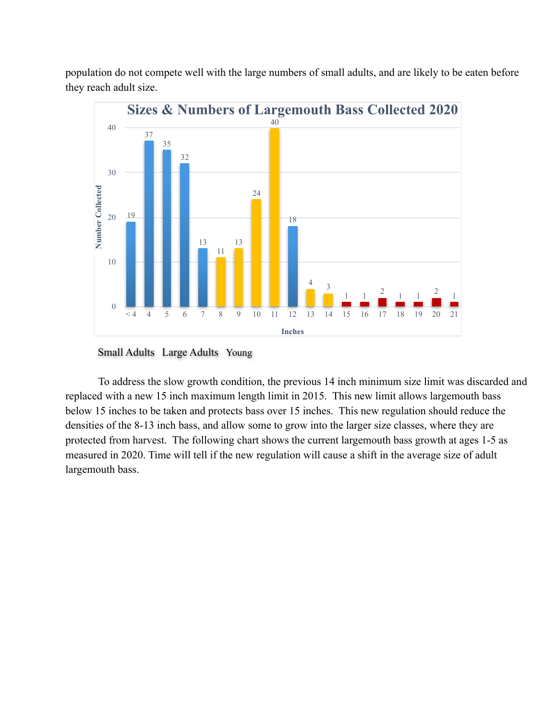population do not compete well with the large numbers of small adults, and are likely to be eaten before they reach adult size.



Small Adults Large Adults Young

To address the slow growth condition, the previous 14 inch minimum size limit was discarded and replaced with a new 15 inch maximum length limit in 2015. This new limit allows largemouth bass below 15 inches to be taken and protects bass over 15 inches. This new regulation should reduce the densities of the 8-13 inch bass, and allow some to grow into the larger size classes, where they are protected from harvest. The following chart shows the current largemouth bass growth at ages 1-5 as measured in 2020. Time will tell if the new regulation will cause a shift in the average size of adult largemouth bass.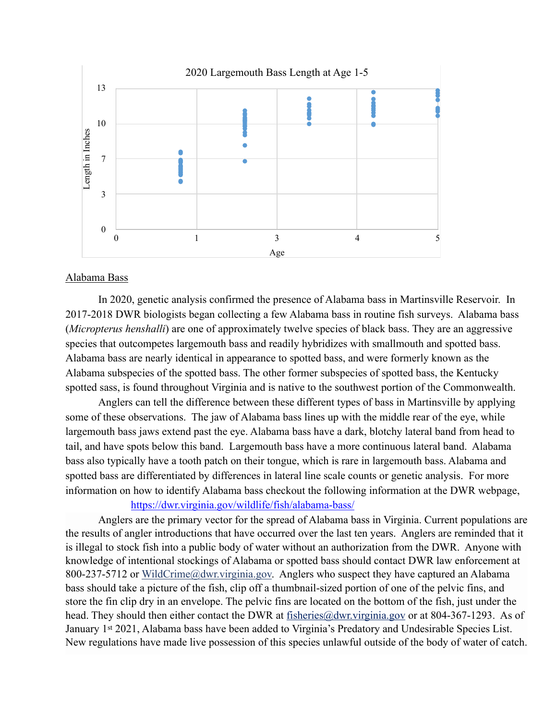

## Alabama Bass

In 2020, genetic analysis confirmed the presence of Alabama bass in Martinsville Reservoir. In 2017-2018 DWR biologists began collecting a few Alabama bass in routine fish surveys. Alabama bass (*Micropterus henshalli*) are one of approximately twelve species of black bass. They are an aggressive species that outcompetes largemouth bass and readily hybridizes with smallmouth and spotted bass. Alabama bass are nearly identical in appearance to spotted bass, and were formerly known as the Alabama subspecies of the spotted bass. The other former subspecies of spotted bass, the Kentucky spotted sass, is found throughout Virginia and is native to the southwest portion of the Commonwealth.

Anglers can tell the difference between these different types of bass in Martinsville by applying some of these observations. The jaw of Alabama bass lines up with the middle rear of the eye, while largemouth bass jaws extend past the eye. Alabama bass have a dark, blotchy lateral band from head to tail, and have spots below this band. Largemouth bass have a more continuous lateral band. Alabama bass also typically have a tooth patch on their tongue, which is rare in largemouth bass. Alabama and spotted bass are differentiated by differences in lateral line scale counts or genetic analysis. For more information on how to identify Alabama bass checkout the following information at the DWR webpage,

## <https://dwr.virginia.gov/wildlife/fish/alabama-bass/>

Anglers are the primary vector for the spread of Alabama bass in Virginia. Current populations are the results of angler introductions that have occurred over the last ten years. Anglers are reminded that it is illegal to stock fish into a public body of water without an authorization from the DWR. Anyone with knowledge of intentional stockings of Alabama or spotted bass should contact DWR law enforcement at 800-237-5712 or [WildCrime@dwr.virginia.gov.](mailto:WildCrime@dwr.virginia.gov) Anglers who suspect they have captured an Alabama bass should take a picture of the fish, clip off a thumbnail-sized portion of one of the pelvic fins, and store the fin clip dry in an envelope. The pelvic fins are located on the bottom of the fish, just under the head. They should then either contact the DWR at [fisheries@dwr.virginia.gov](mailto:fisheries@dwr.virginia.gov) or at 804-367-1293. As of January 1st 2021, Alabama bass have been added to Virginia's Predatory and Undesirable Species List. New regulations have made live possession of this species unlawful outside of the body of water of catch.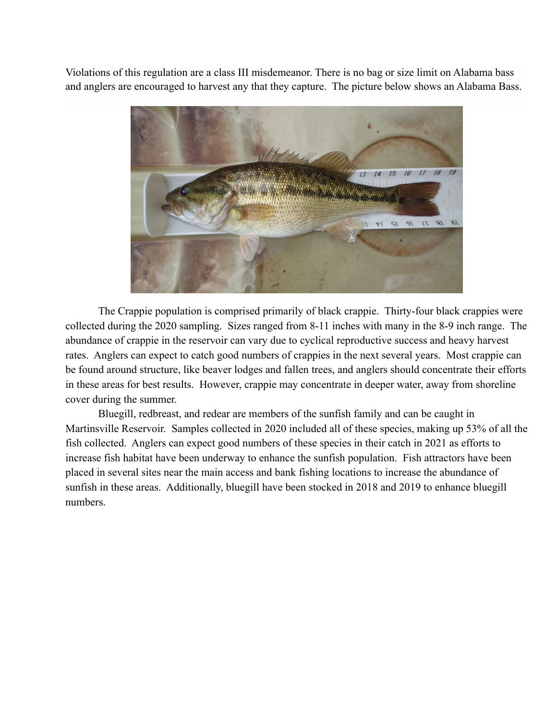Violations of this regulation are a class III misdemeanor. There is no bag or size limit on Alabama bass and anglers are encouraged to harvest any that they capture. The picture below shows an Alabama Bass.



The Crappie population is comprised primarily of black crappie. Thirty-four black crappies were collected during the 2020 sampling. Sizes ranged from 8-11 inches with many in the 8-9 inch range. The abundance of crappie in the reservoir can vary due to cyclical reproductive success and heavy harvest rates. Anglers can expect to catch good numbers of crappies in the next several years. Most crappie can be found around structure, like beaver lodges and fallen trees, and anglers should concentrate their efforts in these areas for best results. However, crappie may concentrate in deeper water, away from shoreline cover during the summer.

Bluegill, redbreast, and redear are members of the sunfish family and can be caught in Martinsville Reservoir. Samples collected in 2020 included all of these species, making up 53% of all the fish collected. Anglers can expect good numbers of these species in their catch in 2021 as efforts to increase fish habitat have been underway to enhance the sunfish population. Fish attractors have been placed in several sites near the main access and bank fishing locations to increase the abundance of sunfish in these areas. Additionally, bluegill have been stocked in 2018 and 2019 to enhance bluegill numbers.